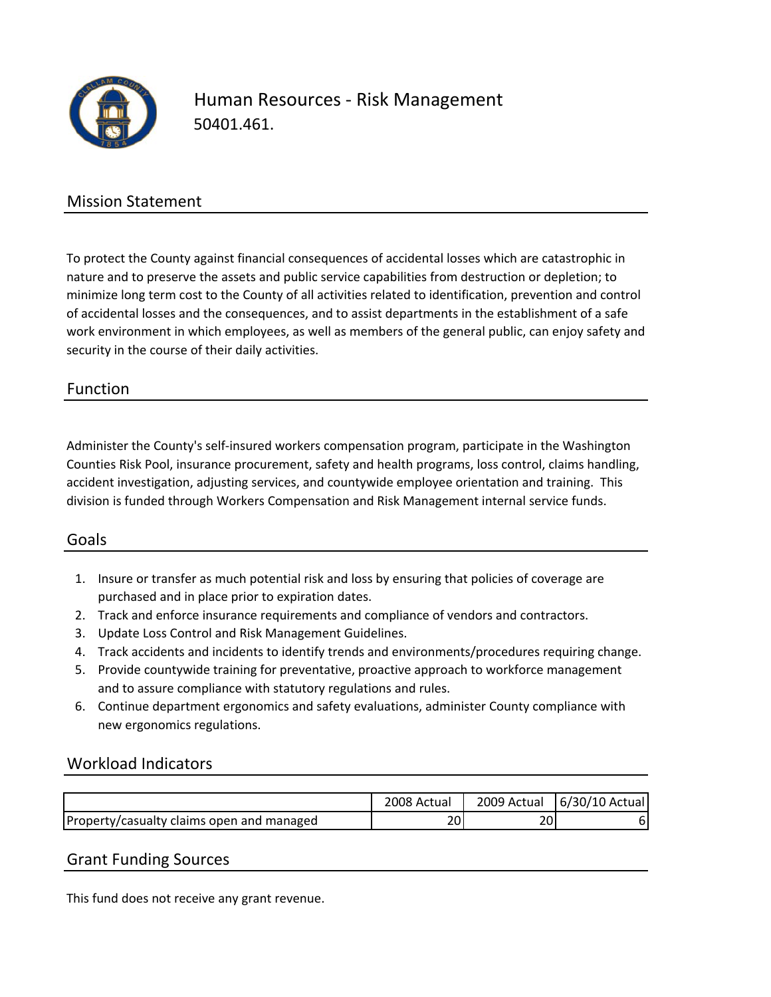

## Human Resources ‐ Risk Management 50401.461.

### Mission Statement

To protect the County against financial consequences of accidental losses which are catastrophic in nature and to preserve the assets and public service capabilities from destruction or depletion; to minimize long term cost to the County of all activities related to identification, prevention and control of accidental losses and the consequences, and to assist departments in the establishment of a safe work environment in which employees, as well as members of the general public, can enjoy safety and security in the course of their daily activities.

#### Function

Administer the County's self‐insured workers compensation program, participate in the Washington Counties Risk Pool, insurance procurement, safety and health programs, loss control, claims handling, accident investigation, adjusting services, and countywide employee orientation and training. This division is funded through Workers Compensation and Risk Management internal service funds.

#### Goals

- 1. Insure or transfer as much potential risk and loss by ensuring that policies of coverage are purchased and in place prior to expiration dates.
- 2. Track and enforce insurance requirements and compliance of vendors and contractors.
- 3. Update Loss Control and Risk Management Guidelines.
- 4. Track accidents and incidents to identify trends and environments/procedures requiring change.
- 5. Provide countywide training for preventative, proactive approach to workforce management and to assure compliance with statutory regulations and rules.
- 6. Continue department ergonomics and safety evaluations, administer County compliance with new ergonomics regulations.

#### Workload Indicators

|                                           | 2008 Actual | 2009 Actual | $6/30/10$ Actual |
|-------------------------------------------|-------------|-------------|------------------|
| Property/casualty claims open and managed |             | 20          |                  |

#### Grant Funding Sources

This fund does not receive any grant revenue.